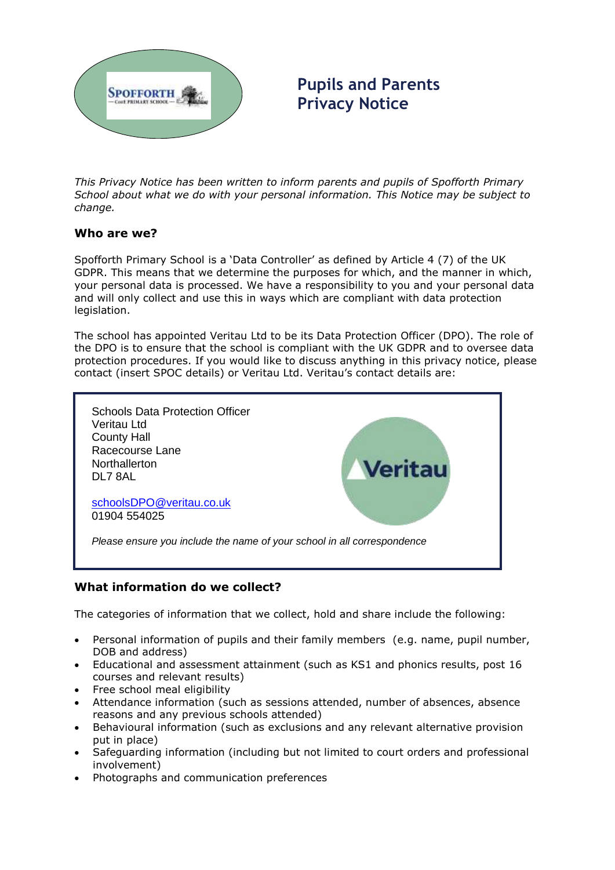

**Pupils and Parents Privacy Notice**

*This Privacy Notice has been written to inform parents and pupils of Spofforth Primary School about what we do with your personal information. This Notice may be subject to change.*

### **Who are we?**

Spofforth Primary School is a 'Data Controller' as defined by Article 4 (7) of the UK GDPR. This means that we determine the purposes for which, and the manner in which, your personal data is processed. We have a responsibility to you and your personal data and will only collect and use this in ways which are compliant with data protection legislation.

The school has appointed Veritau Ltd to be its Data Protection Officer (DPO). The role of the DPO is to ensure that the school is compliant with the UK GDPR and to oversee data protection procedures. If you would like to discuss anything in this privacy notice, please contact (insert SPOC details) or Veritau Ltd. Veritau's contact details are:



# **What information do we collect?**

The categories of information that we collect, hold and share include the following:

- Personal information of pupils and their family members (e.g. name, pupil number, DOB and address)
- Educational and assessment attainment (such as KS1 and phonics results, post 16 courses and relevant results)
- Free school meal eligibility
- Attendance information (such as sessions attended, number of absences, absence reasons and any previous schools attended)
- Behavioural information (such as exclusions and any relevant alternative provision put in place)
- Safeguarding information (including but not limited to court orders and professional involvement)
- Photographs and communication preferences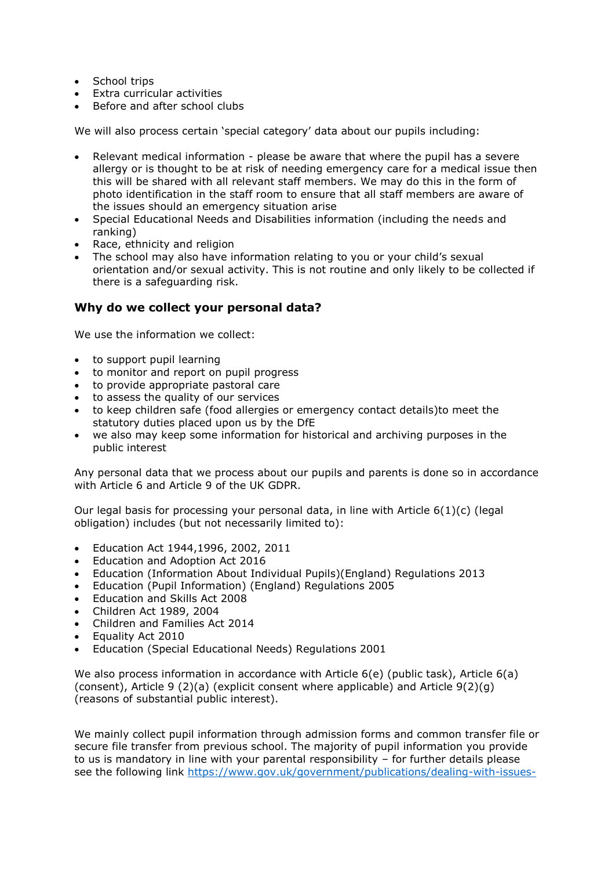- School trips
- Extra curricular activities
- Before and after school clubs

We will also process certain 'special category' data about our pupils including:

- Relevant medical information please be aware that where the pupil has a severe allergy or is thought to be at risk of needing emergency care for a medical issue then this will be shared with all relevant staff members. We may do this in the form of photo identification in the staff room to ensure that all staff members are aware of the issues should an emergency situation arise
- Special Educational Needs and Disabilities information (including the needs and ranking)
- Race, ethnicity and religion
- The school may also have information relating to you or your child's sexual orientation and/or sexual activity. This is not routine and only likely to be collected if there is a safeguarding risk.

## **Why do we collect your personal data?**

We use the information we collect:

- to support pupil learning
- to monitor and report on pupil progress
- to provide appropriate pastoral care
- to assess the quality of our services
- to keep children safe (food allergies or emergency contact details)to meet the statutory duties placed upon us by the DfE
- we also may keep some information for historical and archiving purposes in the public interest

Any personal data that we process about our pupils and parents is done so in accordance with Article 6 and Article 9 of the UK GDPR.

Our legal basis for processing your personal data, in line with Article  $6(1)(c)$  (legal obligation) includes (but not necessarily limited to):

- Education Act 1944,1996, 2002, 2011
- Education and Adoption Act 2016
- Education (Information About Individual Pupils)(England) Regulations 2013
- Education (Pupil Information) (England) Regulations 2005
- Education and Skills Act 2008
- Children Act 1989, 2004
- Children and Families Act 2014
- Equality Act 2010
- Education (Special Educational Needs) Regulations 2001

We also process information in accordance with Article 6(e) (public task), Article 6(a) (consent), Article 9 (2)(a) (explicit consent where applicable) and Article 9(2)(g) (reasons of substantial public interest).

We mainly collect pupil information through admission forms and common transfer file or secure file transfer from previous school. The majority of pupil information you provide to us is mandatory in line with your parental responsibility – for further details please see the following link [https://www.gov.uk/government/publications/dealing-with-issues-](https://www.gov.uk/government/publications/dealing-with-issues-relating-to-parental-responsibility/understanding-and-dealing-with-issues-relating-to-parental-responsibility)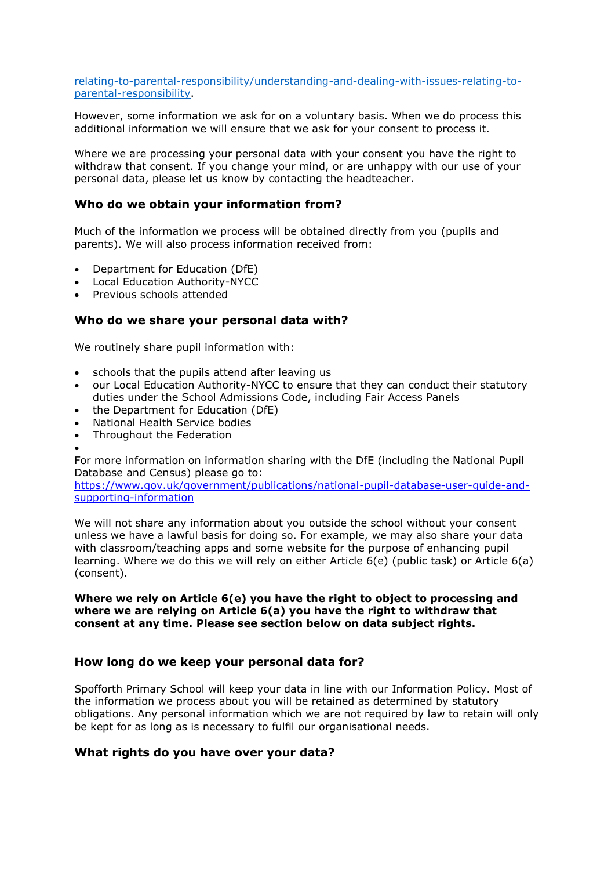[relating-to-parental-responsibility/understanding-and-dealing-with-issues-relating-to](https://www.gov.uk/government/publications/dealing-with-issues-relating-to-parental-responsibility/understanding-and-dealing-with-issues-relating-to-parental-responsibility)[parental-responsibility.](https://www.gov.uk/government/publications/dealing-with-issues-relating-to-parental-responsibility/understanding-and-dealing-with-issues-relating-to-parental-responsibility)

However, some information we ask for on a voluntary basis. When we do process this additional information we will ensure that we ask for your consent to process it.

Where we are processing your personal data with your consent you have the right to withdraw that consent. If you change your mind, or are unhappy with our use of your personal data, please let us know by contacting the headteacher.

### **Who do we obtain your information from?**

Much of the information we process will be obtained directly from you (pupils and parents). We will also process information received from:

- Department for Education (DfE)
- Local Education Authority-NYCC
- Previous schools attended

### **Who do we share your personal data with?**

We routinely share pupil information with:

- schools that the pupils attend after leaving us
- our Local Education Authority-NYCC to ensure that they can conduct their statutory duties under the School Admissions Code, including Fair Access Panels
- the Department for Education (DfE)
- National Health Service bodies
- Throughout the Federation

•

For more information on information sharing with the DfE (including the National Pupil Database and Census) please go to:

[https://www.gov.uk/government/publications/national-pupil-database-user-guide-and](https://www.gov.uk/government/publications/national-pupil-database-user-guide-and-supporting-information)[supporting-information](https://www.gov.uk/government/publications/national-pupil-database-user-guide-and-supporting-information)

We will not share any information about you outside the school without your consent unless we have a lawful basis for doing so. For example, we may also share your data with classroom/teaching apps and some website for the purpose of enhancing pupil learning. Where we do this we will rely on either Article 6(e) (public task) or Article 6(a) (consent).

#### **Where we rely on Article 6(e) you have the right to object to processing and where we are relying on Article 6(a) you have the right to withdraw that consent at any time. Please see section below on data subject rights.**

#### **How long do we keep your personal data for?**

Spofforth Primary School will keep your data in line with our Information Policy. Most of the information we process about you will be retained as determined by statutory obligations. Any personal information which we are not required by law to retain will only be kept for as long as is necessary to fulfil our organisational needs.

#### **What rights do you have over your data?**